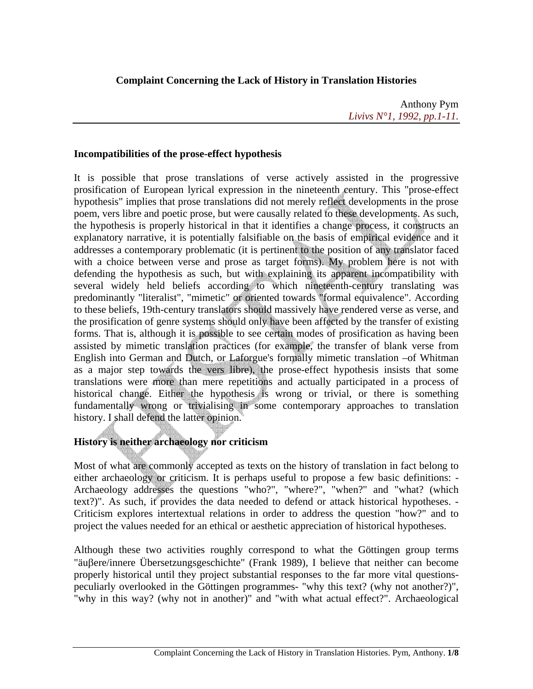## **Complaint Concerning the Lack of History in Translation Histories**

Anthony Pym *Livivs N°1, 1992, pp.1-11.*

### **Incompatibilities of the prose-effect hypothesis**

It is possible that prose translations of verse actively assisted in the progressive prosification of European lyrical expression in the nineteenth century. This "prose-effect hypothesis" implies that prose translations did not merely reflect developments in the prose poem, vers libre and poetic prose, but were causally related to these developments. As such, the hypothesis is properly historical in that it identifies a change process, it constructs an explanatory narrative, it is potentially falsifiable on the basis of empirical evidence and it addresses a contemporary problematic (it is pertinent to the position of any translator faced with a choice between verse and prose as target forms). My problem here is not with defending the hypothesis as such, but with explaining its apparent incompatibility with several widely held beliefs according to which nineteenth-century translating was predominantly "literalist", "mimetic" or oriented towards "formal equivalence". According to these beliefs, 19th-century translators should massively have rendered verse as verse, and the prosification of genre systems should only have been affected by the transfer of existing forms. That is, although it is possible to see certain modes of prosification as having been assisted by mimetic translation practices (for example, the transfer of blank verse from English into German and Dutch, or Laforgue's formally mimetic translation –of Whitman as a major step towards the vers libre), the prose-effect hypothesis insists that some translations were more than mere repetitions and actually participated in a process of historical change. Either the hypothesis is wrong or trivial, or there is something fundamentally wrong or trivialising in some contemporary approaches to translation history. I shall defend the latter opinion.

# **History is neither archaeology nor criticism**

Most of what are commonly accepted as texts on the history of translation in fact belong to either archaeology or criticism. It is perhaps useful to propose a few basic definitions: - Archaeology addresses the questions "who?", "where?", "when?" and "what? (which text?)". As such, it provides the data needed to defend or attack historical hypotheses. - Criticism explores intertextual relations in order to address the question "how?" and to project the values needed for an ethical or aesthetic appreciation of historical hypotheses.

Although these two activities roughly correspond to what the Göttingen group terms "äuβere/innere Übersetzungsgeschichte" (Frank 1989), I believe that neither can become properly historical until they project substantial responses to the far more vital questionspeculiarly overlooked in the Göttingen programmes- "why this text? (why not another?)", "why in this way? (why not in another)" and "with what actual effect?". Archaeological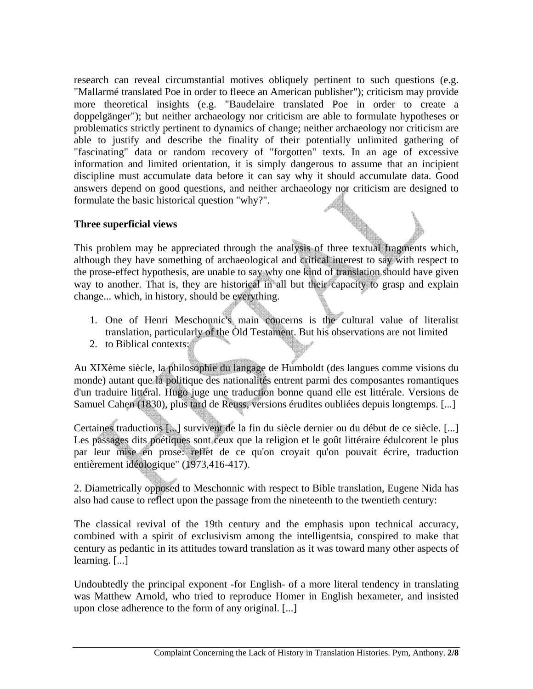research can reveal circumstantial motives obliquely pertinent to such questions (e.g. "Mallarmé translated Poe in order to fleece an American publisher"); criticism may provide more theoretical insights (e.g. "Baudelaire translated Poe in order to create a doppelgänger"); but neither archaeology nor criticism are able to formulate hypotheses or problematics strictly pertinent to dynamics of change; neither archaeology nor criticism are able to justify and describe the finality of their potentially unlimited gathering of "fascinating" data or random recovery of "forgotten" texts. In an age of excessive information and limited orientation, it is simply dangerous to assume that an incipient discipline must accumulate data before it can say why it should accumulate data. Good answers depend on good questions, and neither archaeology nor criticism are designed to formulate the basic historical question "why?".

#### **Three superficial views**

This problem may be appreciated through the analysis of three textual fragments which, although they have something of archaeological and critical interest to say with respect to the prose-effect hypothesis, are unable to say why one kind of translation should have given way to another. That is, they are historical in all but their capacity to grasp and explain change... which, in history, should be everything.

- 1. One of Henri Meschonnic's main concerns is the cultural value of literalist translation, particularly of the Old Testament. But his observations are not limited
- 2. to Biblical contexts:

Au XIXème siècle, la philosophie du langage de Humboldt (des langues comme visions du monde) autant que la politique des nationalités entrent parmi des composantes romantiques d'un traduire littéral. Hugo juge une traduction bonne quand elle est littérale. Versions de Samuel Cahen (1830), plus tard de Reuss, versions érudites oubliées depuis longtemps. [...]

Certaines traductions [...] survivent de la fin du siècle dernier ou du début de ce siècle. [...] Les passages dits poétiques sont ceux que la religion et le goût littéraire édulcorent le plus par leur mise en prose: reflet de ce qu'on croyait qu'on pouvait écrire, traduction entièrement idéologique" (1973,416-417).

2. Diametrically opposed to Meschonnic with respect to Bible translation, Eugene Nida has also had cause to reflect upon the passage from the nineteenth to the twentieth century:

The classical revival of the 19th century and the emphasis upon technical accuracy, combined with a spirit of exclusivism among the intelligentsia, conspired to make that century as pedantic in its attitudes toward translation as it was toward many other aspects of learning. [...]

Undoubtedly the principal exponent -for English- of a more literal tendency in translating was Matthew Arnold, who tried to reproduce Homer in English hexameter, and insisted upon close adherence to the form of any original. [...]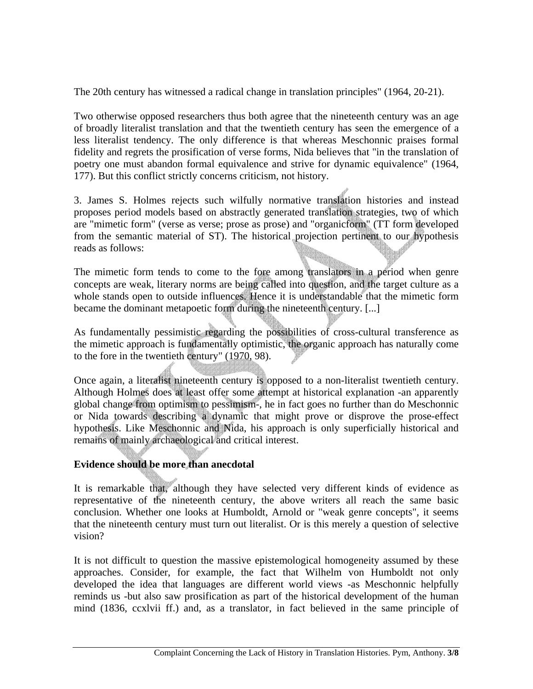The 20th century has witnessed a radical change in translation principles" (1964, 20-21).

Two otherwise opposed researchers thus both agree that the nineteenth century was an age of broadly literalist translation and that the twentieth century has seen the emergence of a less literalist tendency. The only difference is that whereas Meschonnic praises formal fidelity and regrets the prosification of verse forms, Nida believes that "in the translation of poetry one must abandon formal equivalence and strive for dynamic equivalence" (1964, 177). But this conflict strictly concerns criticism, not history.

3. James S. Holmes rejects such wilfully normative translation histories and instead proposes period models based on abstractly generated translation strategies, two of which are "mimetic form" (verse as verse; prose as prose) and "organicform" (TT form developed from the semantic material of ST). The historical projection pertinent to our hypothesis reads as follows:

The mimetic form tends to come to the fore among translators in a period when genre concepts are weak, literary norms are being called into question, and the target culture as a whole stands open to outside influences. Hence it is understandable that the mimetic form became the dominant metapoetic form during the nineteenth century. [...]

As fundamentally pessimistic regarding the possibilities of cross-cultural transference as the mimetic approach is fundamentally optimistic, the organic approach has naturally come to the fore in the twentieth century" (1970, 98).

Once again, a literalist nineteenth century is opposed to a non-literalist twentieth century. Although Holmes does at least offer some attempt at historical explanation -an apparently global change from optimism to pessimism-, he in fact goes no further than do Meschonnic or Nida towards describing a dynamic that might prove or disprove the prose-effect hypothesis. Like Meschonnic and Nida, his approach is only superficially historical and remains of mainly archaeological and critical interest.

#### **Evidence should be more than anecdotal**

It is remarkable that, although they have selected very different kinds of evidence as representative of the nineteenth century, the above writers all reach the same basic conclusion. Whether one looks at Humboldt, Arnold or "weak genre concepts", it seems that the nineteenth century must turn out literalist. Or is this merely a question of selective vision?

It is not difficult to question the massive epistemological homogeneity assumed by these approaches. Consider, for example, the fact that Wilhelm von Humboldt not only developed the idea that languages are different world views -as Meschonnic helpfully reminds us -but also saw prosification as part of the historical development of the human mind (1836, ccxlvii ff.) and, as a translator, in fact believed in the same principle of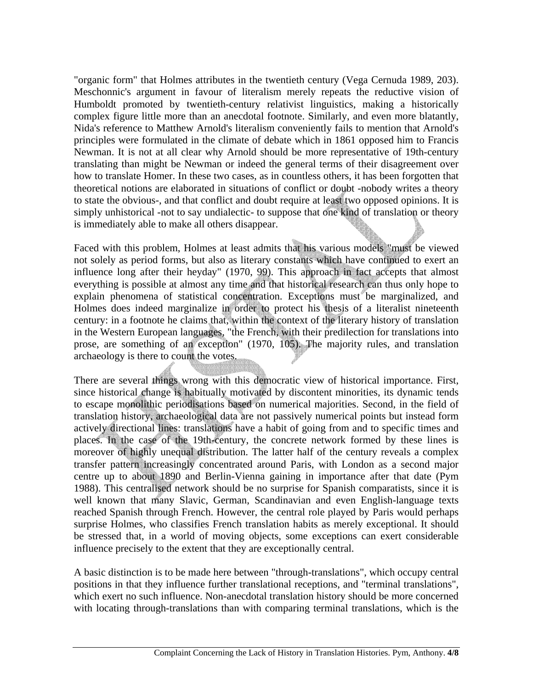"organic form" that Holmes attributes in the twentieth century (Vega Cernuda 1989, 203). Meschonnic's argument in favour of literalism merely repeats the reductive vision of Humboldt promoted by twentieth-century relativist linguistics, making a historically complex figure little more than an anecdotal footnote. Similarly, and even more blatantly, Nida's reference to Matthew Arnold's literalism conveniently fails to mention that Arnold's principles were formulated in the climate of debate which in 1861 opposed him to Francis Newman. It is not at all clear why Arnold should be more representative of 19th-century translating than might be Newman or indeed the general terms of their disagreement over how to translate Homer. In these two cases, as in countless others, it has been forgotten that theoretical notions are elaborated in situations of conflict or doubt -nobody writes a theory to state the obvious-, and that conflict and doubt require at least two opposed opinions. It is simply unhistorical -not to say undialectic- to suppose that one kind of translation or theory is immediately able to make all others disappear.

Faced with this problem, Holmes at least admits that his various models "must be viewed not solely as period forms, but also as literary constants which have continued to exert an influence long after their heyday" (1970, 99). This approach in fact accepts that almost everything is possible at almost any time and that historical research can thus only hope to explain phenomena of statistical concentration. Exceptions must be marginalized, and Holmes does indeed marginalize in order to protect his thesis of a literalist nineteenth century: in a footnote he claims that, within the context of the literary history of translation in the Western European languages, "the French, with their predilection for translations into prose, are something of an exception" (1970, 105). The majority rules, and translation archaeology is there to count the votes.

There are several things wrong with this democratic view of historical importance. First, since historical change is habitually motivated by discontent minorities, its dynamic tends to escape monolithic periodisations based on numerical majorities. Second, in the field of translation history, archaeological data are not passively numerical points but instead form actively directional lines: translations have a habit of going from and to specific times and places. In the case of the 19th-century, the concrete network formed by these lines is moreover of highly unequal distribution. The latter half of the century reveals a complex transfer pattern increasingly concentrated around Paris, with London as a second major centre up to about 1890 and Berlin-Vienna gaining in importance after that date (Pym 1988). This centralised network should be no surprise for Spanish comparatists, since it is well known that many Slavic, German, Scandinavian and even English-language texts reached Spanish through French. However, the central role played by Paris would perhaps surprise Holmes, who classifies French translation habits as merely exceptional. It should be stressed that, in a world of moving objects, some exceptions can exert considerable influence precisely to the extent that they are exceptionally central.

A basic distinction is to be made here between "through-translations", which occupy central positions in that they influence further translational receptions, and "terminal translations", which exert no such influence. Non-anecdotal translation history should be more concerned with locating through-translations than with comparing terminal translations, which is the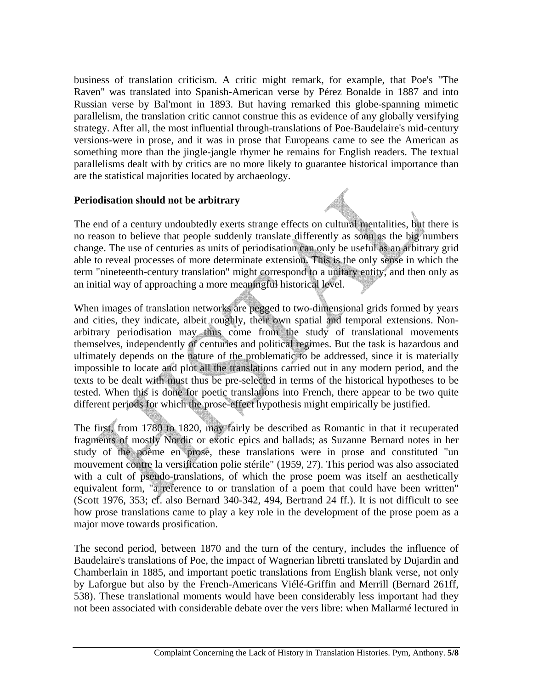business of translation criticism. A critic might remark, for example, that Poe's "The Raven" was translated into Spanish-American verse by Pérez Bonalde in 1887 and into Russian verse by Bal'mont in 1893. But having remarked this globe-spanning mimetic parallelism, the translation critic cannot construe this as evidence of any globally versifying strategy. After all, the most influential through-translations of Poe-Baudelaire's mid-century versions-were in prose, and it was in prose that Europeans came to see the American as something more than the jingle-jangle rhymer he remains for English readers. The textual parallelisms dealt with by critics are no more likely to guarantee historical importance than are the statistical majorities located by archaeology.

#### **Periodisation should not be arbitrary**

The end of a century undoubtedly exerts strange effects on cultural mentalities, but there is no reason to believe that people suddenly translate differently as soon as the big numbers change. The use of centuries as units of periodisation can only be useful as an arbitrary grid able to reveal processes of more determinate extension. This is the only sense in which the term "nineteenth-century translation" might correspond to a unitary entity, and then only as an initial way of approaching a more meaningful historical level.

When images of translation networks are pegged to two-dimensional grids formed by years and cities, they indicate, albeit roughly, their own spatial and temporal extensions. Nonarbitrary periodisation may thus come from the study of translational movements themselves, independently of centuries and political regimes. But the task is hazardous and ultimately depends on the nature of the problematic to be addressed, since it is materially impossible to locate and plot all the translations carried out in any modern period, and the texts to be dealt with must thus be pre-selected in terms of the historical hypotheses to be tested. When this is done for poetic translations into French, there appear to be two quite different periods for which the prose-effect hypothesis might empirically be justified.

The first, from 1780 to 1820, may fairly be described as Romantic in that it recuperated fragments of mostly Nordic or exotic epics and ballads; as Suzanne Bernard notes in her study of the poème en prose, these translations were in prose and constituted "un mouvement contre la versification polie stérile" (1959, 27). This period was also associated with a cult of pseudo-translations, of which the prose poem was itself an aesthetically equivalent form, "a reference to or translation of a poem that could have been written" (Scott 1976, 353; cf. also Bernard 340-342, 494, Bertrand 24 ff.). It is not difficult to see how prose translations came to play a key role in the development of the prose poem as a major move towards prosification.

The second period, between 1870 and the turn of the century, includes the influence of Baudelaire's translations of Poe, the impact of Wagnerian libretti translated by Dujardin and Chamberlain in 1885, and important poetic translations from English blank verse, not only by Laforgue but also by the French-Americans Viélé-Griffin and Merrill (Bernard 261ff, 538). These translational moments would have been considerably less important had they not been associated with considerable debate over the vers libre: when Mallarmé lectured in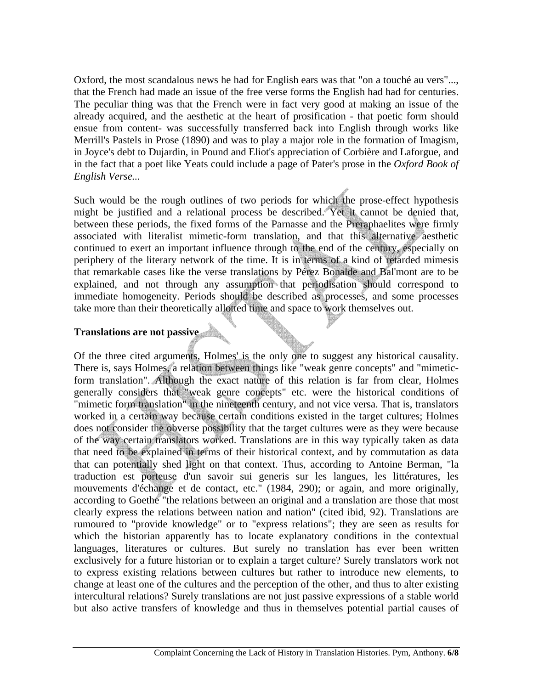Oxford, the most scandalous news he had for English ears was that "on a touché au vers"..., that the French had made an issue of the free verse forms the English had had for centuries. The peculiar thing was that the French were in fact very good at making an issue of the already acquired, and the aesthetic at the heart of prosification - that poetic form should ensue from content- was successfully transferred back into English through works like Merrill's Pastels in Prose (1890) and was to play a major role in the formation of Imagism, in Joyce's debt to Dujardin, in Pound and Eliot's appreciation of Corbière and Laforgue, and in the fact that a poet like Yeats could include a page of Pater's prose in the *Oxford Book of English Verse...* 

Such would be the rough outlines of two periods for which the prose-effect hypothesis might be justified and a relational process be described. Yet it cannot be denied that, between these periods, the fixed forms of the Parnasse and the Preraphaelites were firmly associated with literalist mimetic-form translation, and that this alternative aesthetic continued to exert an important influence through to the end of the century, especially on periphery of the literary network of the time. It is in terms of a kind of retarded mimesis that remarkable cases like the verse translations by Pérez Bonalde and Bal'mont are to be explained, and not through any assumption that periodisation should correspond to immediate homogeneity. Periods should be described as processes, and some processes take more than their theoretically allotted time and space to work themselves out.

## **Translations are not passive**

Of the three cited arguments, Holmes' is the only one to suggest any historical causality. There is, says Holmes, a relation between things like "weak genre concepts" and "mimeticform translation". Although the exact nature of this relation is far from clear, Holmes generally considers that "weak genre concepts" etc. were the historical conditions of "mimetic form translation" in the nineteenth century, and not vice versa. That is, translators worked in a certain way because certain conditions existed in the target cultures; Holmes does not consider the obverse possibility that the target cultures were as they were because of the way certain translators worked. Translations are in this way typically taken as data that need to be explained in terms of their historical context, and by commutation as data that can potentially shed light on that context. Thus, according to Antoine Berman, "la traduction est porteuse d'un savoir sui generis sur les langues, les littératures, les mouvements d'échange et de contact, etc." (1984, 290); or again, and more originally, according to Goethe "the relations between an original and a translation are those that most clearly express the relations between nation and nation" (cited ibid, 92). Translations are rumoured to "provide knowledge" or to "express relations"; they are seen as results for which the historian apparently has to locate explanatory conditions in the contextual languages, literatures or cultures. But surely no translation has ever been written exclusively for a future historian or to explain a target culture? Surely translators work not to express existing relations between cultures but rather to introduce new elements, to change at least one of the cultures and the perception of the other, and thus to alter existing intercultural relations? Surely translations are not just passive expressions of a stable world but also active transfers of knowledge and thus in themselves potential partial causes of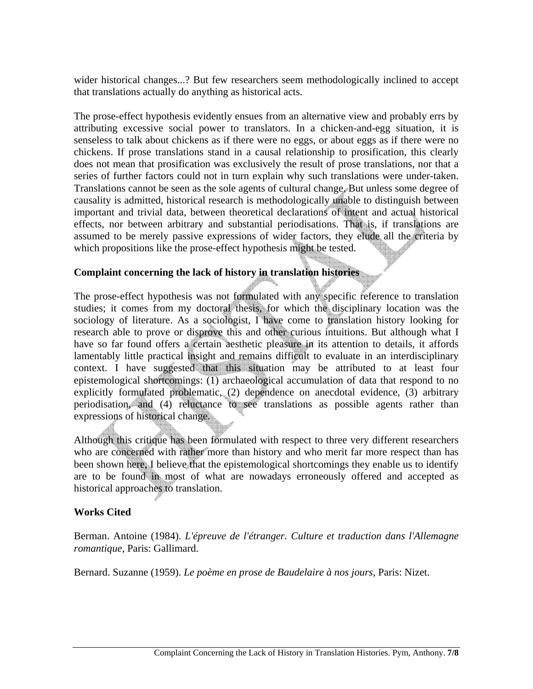wider historical changes...? But few researchers seem methodologically inclined to accept that translations actually do anything as historical acts.

The prose-effect hypothesis evidently ensues from an alternative view and probably errs by attributing excessive social power to translators. In a chicken-and-egg situation, it is senseless to talk about chickens as if there were no eggs, or about eggs as if there were no chickens. If prose translations stand in a causal relationship to prosification, this clearly does not mean that prosification was exclusively the result of prose translations, nor that a series of further factors could not in turn explain why such translations were under-taken. Translations cannot be seen as the sole agents of cultural change. But unless some degree of causality is admitted, historical research is methodologically unable to distinguish between important and trivial data, between theoretical declarations of intent and actual historical effects, nor between arbitrary and substantial periodisations. That is, if translations are assumed to be merely passive expressions of wider factors, they elude all the criteria by which propositions like the prose-effect hypothesis might be tested.

## **Complaint concerning the lack of history in translation histories**

The prose-effect hypothesis was not formulated with any specific reference to translation studies; it comes from my doctoral thesis, for which the disciplinary location was the sociology of literature. As a sociologist, I have come to translation history looking for research able to prove or disprove this and other curious intuitions. But although what I have so far found offers a certain aesthetic pleasure in its attention to details, it affords lamentably little practical insight and remains difficult to evaluate in an interdisciplinary context. I have suggested that this situation may be attributed to at least four epistemological shortcomings: (1) archaeological accumulation of data that respond to no explicitly formulated problematic, (2) dependence on anecdotal evidence, (3) arbitrary periodisation, and (4) reluctance to see translations as possible agents rather than expressions of historical change.

Although this critique has been formulated with respect to three very different researchers who are concerned with rather more than history and who merit far more respect than has been shown here, I believe that the epistemological shortcomings they enable us to identify are to be found in most of what are nowadays erroneously offered and accepted as historical approaches to translation.

#### **Works Cited**

Berman. Antoine (1984). *L'épreuve de l'étranger. Culture et traduction dans l'Allemagne romantique*, Paris: Gallimard.

Bernard. Suzanne (1959). *Le poème en prose de Baudelaire à nos jours*, Paris: Nizet.